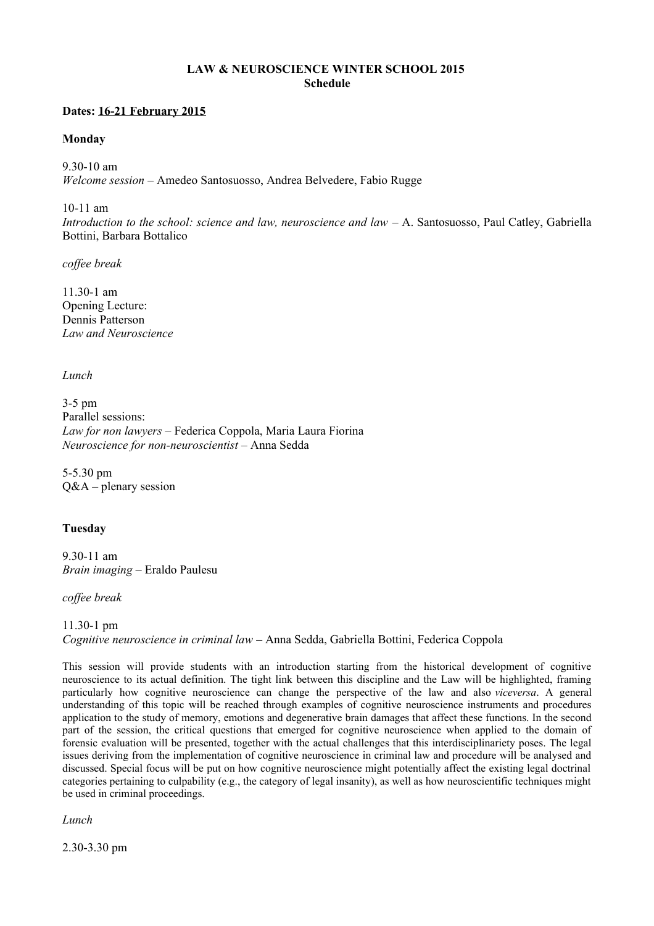### **LAW & NEUROSCIENCE WINTER SCHOOL 2015 Schedule**

#### **Dates: 16-21 February 2015**

#### **Monday**

9.30-10 am *Welcome session* – Amedeo Santosuosso, Andrea Belvedere, Fabio Rugge

10-11 am

*Introduction to the school: science and law, neuroscience and law* – A. Santosuosso, Paul Catley, Gabriella Bottini, Barbara Bottalico

*coffee break*

11.30-1 am Opening Lecture: Dennis Patterson *Law and Neuroscience*

*Lunch*

3-5 pm Parallel sessions: *Law for non lawyers* – Federica Coppola, Maria Laura Fiorina *Neuroscience for non-neuroscientist* – Anna Sedda

5-5.30 pm Q&A – plenary session

# **Tuesday**

9.30-11 am *Brain imaging* – Eraldo Paulesu

*coffee break*

11.30-1 pm *Cognitive neuroscience in criminal law* – Anna Sedda, Gabriella Bottini, Federica Coppola

This session will provide students with an introduction starting from the historical development of cognitive neuroscience to its actual definition. The tight link between this discipline and the Law will be highlighted, framing particularly how cognitive neuroscience can change the perspective of the law and also *viceversa*. A general understanding of this topic will be reached through examples of cognitive neuroscience instruments and procedures application to the study of memory, emotions and degenerative brain damages that affect these functions. In the second part of the session, the critical questions that emerged for cognitive neuroscience when applied to the domain of forensic evaluation will be presented, together with the actual challenges that this interdisciplinariety poses. The legal issues deriving from the implementation of cognitive neuroscience in criminal law and procedure will be analysed and discussed. Special focus will be put on how cognitive neuroscience might potentially affect the existing legal doctrinal categories pertaining to culpability (e.g., the category of legal insanity), as well as how neuroscientific techniques might be used in criminal proceedings.

*Lunch*

2.30-3.30 pm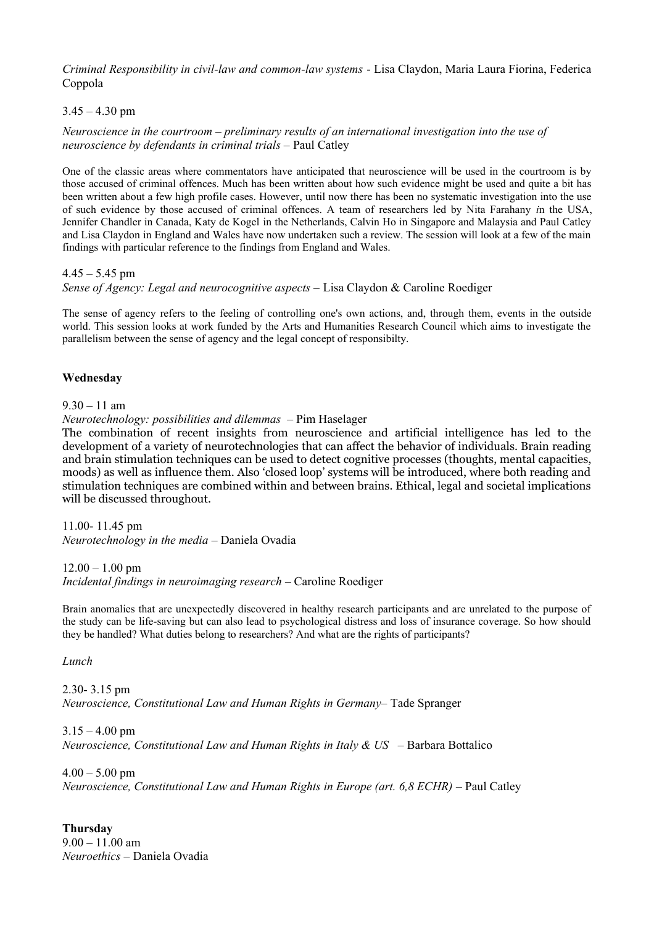*Criminal Responsibility in civil-law and common-law systems* - Lisa Claydon, Maria Laura Fiorina, Federica Coppola

### $3.45 - 4.30$  pm

*Neuroscience in the courtroom – preliminary results of an international investigation into the use of neuroscience by defendants in criminal trials –* Paul Catley

One of the classic areas where commentators have anticipated that neuroscience will be used in the courtroom is by those accused of criminal offences. Much has been written about how such evidence might be used and quite a bit has been written about a few high profile cases. However, until now there has been no systematic investigation into the use of such evidence by those accused of criminal offences. A team of researchers led by Nita Farahany *i*n the USA, Jennifer Chandler in Canada, Katy de Kogel in the Netherlands, Calvin Ho in Singapore and Malaysia and Paul Catley and Lisa Claydon in England and Wales have now undertaken such a review. The session will look at a few of the main findings with particular reference to the findings from England and Wales.

 $4.45 - 5.45$  pm

*Sense of Agency: Legal and neurocognitive aspects –* Lisa Claydon & Caroline Roediger

The sense of agency refers to the feeling of controlling one's own actions, and, through them, events in the outside world. This session looks at work funded by the Arts and Humanities Research Council which aims to investigate the parallelism between the sense of agency and the legal concept of responsibilty.

### **Wednesday**

#### 9.30 – 11 am

*Neurotechnology: possibilities and dilemmas* – Pim Haselager

The combination of recent insights from neuroscience and artificial intelligence has led to the development of a variety of neurotechnologies that can affect the behavior of individuals. Brain reading and brain stimulation techniques can be used to detect cognitive processes (thoughts, mental capacities, moods) as well as influence them. Also 'closed loop' systems will be introduced, where both reading and stimulation techniques are combined within and between brains. Ethical, legal and societal implications will be discussed throughout.

11.00- 11.45 pm

*Neurotechnology in the media* – Daniela Ovadia

 $12.00 - 1.00$  pm

*Incidental findings in neuroimaging research* – Caroline Roediger

Brain anomalies that are unexpectedly discovered in healthy research participants and are unrelated to the purpose of the study can be life-saving but can also lead to psychological distress and loss of insurance coverage. So how should they be handled? What duties belong to researchers? And what are the rights of participants?

*Lunch*

2.30- 3.15 pm *Neuroscience, Constitutional Law and Human Rights in Germany–* Tade Spranger

 $3.15 - 4.00$  pm *Neuroscience, Constitutional Law and Human Rights in Italy & US* – Barbara Bottalico

 $4.00 - 5.00$  pm *Neuroscience, Constitutional Law and Human Rights in Europe (art. 6,8 ECHR)* – Paul Catley

**Thursday**  $9.00 - 11.00$  am *Neuroethics –* Daniela Ovadia